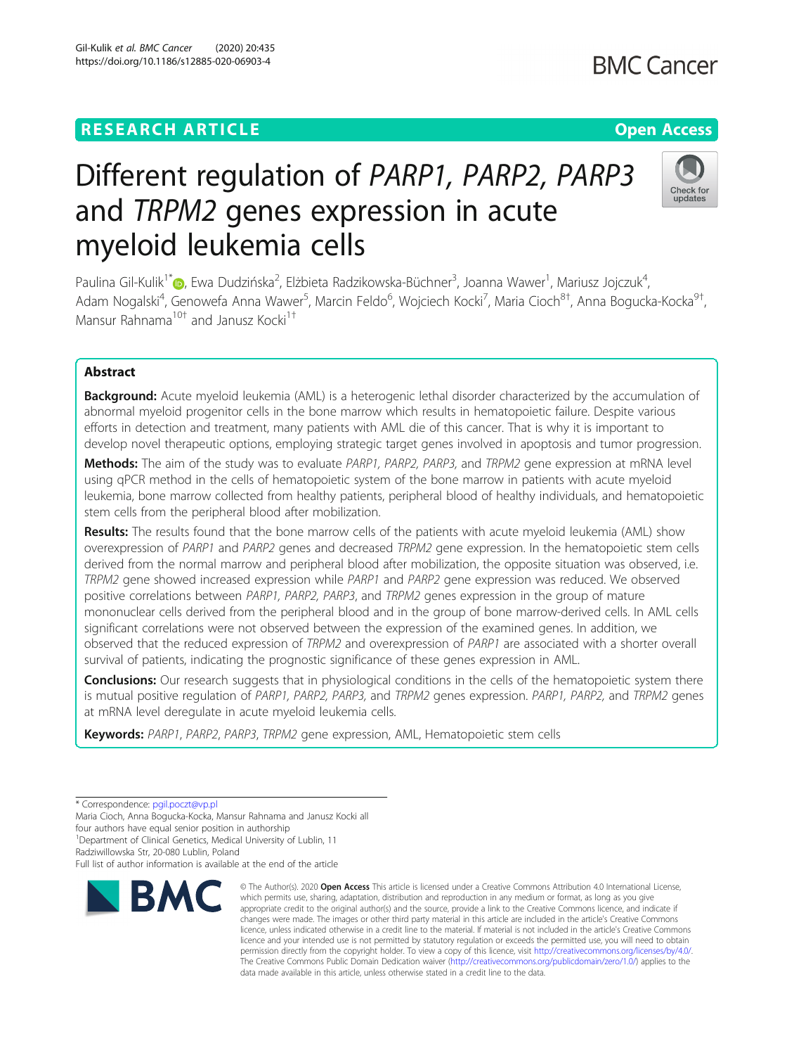# **RESEARCH ARTICLE Example 2014 12:30 The Contract of Contract ACCESS**

# Different regulation of PARP1, PARP2, PARP3 and TRPM2 genes expression in acute myeloid leukemia cells

Paulina Gil-Kulik<sup>1\*</sup>�, Ewa Dudzińska<sup>2</sup>, Elżbieta Radzikowska-Büchner<sup>3</sup>, Joanna Wawer<sup>1</sup>, Mariusz Jojczuk<sup>4</sup> , Adam Nogalski<sup>4</sup>, Genowefa Anna Wawer<sup>5</sup>, Marcin Feldo<sup>6</sup>, Wojciech Kocki<sup>7</sup>, Maria Cioch<sup>8†</sup>, Anna Bogucka-Kocka<sup>9†</sup> , Mansur Rahnama<sup>10†</sup> and Janusz Kocki<sup>1†</sup>

# Abstract

**Background:** Acute myeloid leukemia (AML) is a heterogenic lethal disorder characterized by the accumulation of abnormal myeloid progenitor cells in the bone marrow which results in hematopoietic failure. Despite various efforts in detection and treatment, many patients with AML die of this cancer. That is why it is important to develop novel therapeutic options, employing strategic target genes involved in apoptosis and tumor progression.

Methods: The aim of the study was to evaluate PARP1, PARP2, PARP3, and TRPM2 gene expression at mRNA level using qPCR method in the cells of hematopoietic system of the bone marrow in patients with acute myeloid leukemia, bone marrow collected from healthy patients, peripheral blood of healthy individuals, and hematopoietic stem cells from the peripheral blood after mobilization.

Results: The results found that the bone marrow cells of the patients with acute myeloid leukemia (AML) show overexpression of PARP1 and PARP2 genes and decreased TRPM2 gene expression. In the hematopoietic stem cells derived from the normal marrow and peripheral blood after mobilization, the opposite situation was observed, i.e. TRPM2 gene showed increased expression while PARP1 and PARP2 gene expression was reduced. We observed positive correlations between PARP1, PARP2, PARP3, and TRPM2 genes expression in the group of mature mononuclear cells derived from the peripheral blood and in the group of bone marrow-derived cells. In AML cells significant correlations were not observed between the expression of the examined genes. In addition, we observed that the reduced expression of TRPM2 and overexpression of PARP1 are associated with a shorter overall survival of patients, indicating the prognostic significance of these genes expression in AML.

**Conclusions:** Our research suggests that in physiological conditions in the cells of the hematopoietic system there is mutual positive regulation of PARP1, PARP2, PARP3, and TRPM2 genes expression. PARP1, PARP2, and TRPM2 genes at mRNA level deregulate in acute myeloid leukemia cells.

Keywords: PARP1, PARP2, PARP3, TRPM2 gene expression, AML, Hematopoietic stem cells

\* Correspondence: [pgil.poczt@vp.pl](mailto:pgil.poczt@vp.pl)

Maria Cioch, Anna Bogucka-Kocka, Mansur Rahnama and Janusz Kocki all four authors have equal senior position in authorship <sup>1</sup>Department of Clinical Genetics, Medical University of Lublin, 11 Radziwillowska Str, 20-080 Lublin, Poland

Full list of author information is available at the end of the article

© The Author(s), 2020 **Open Access** This article is licensed under a Creative Commons Attribution 4.0 International License,





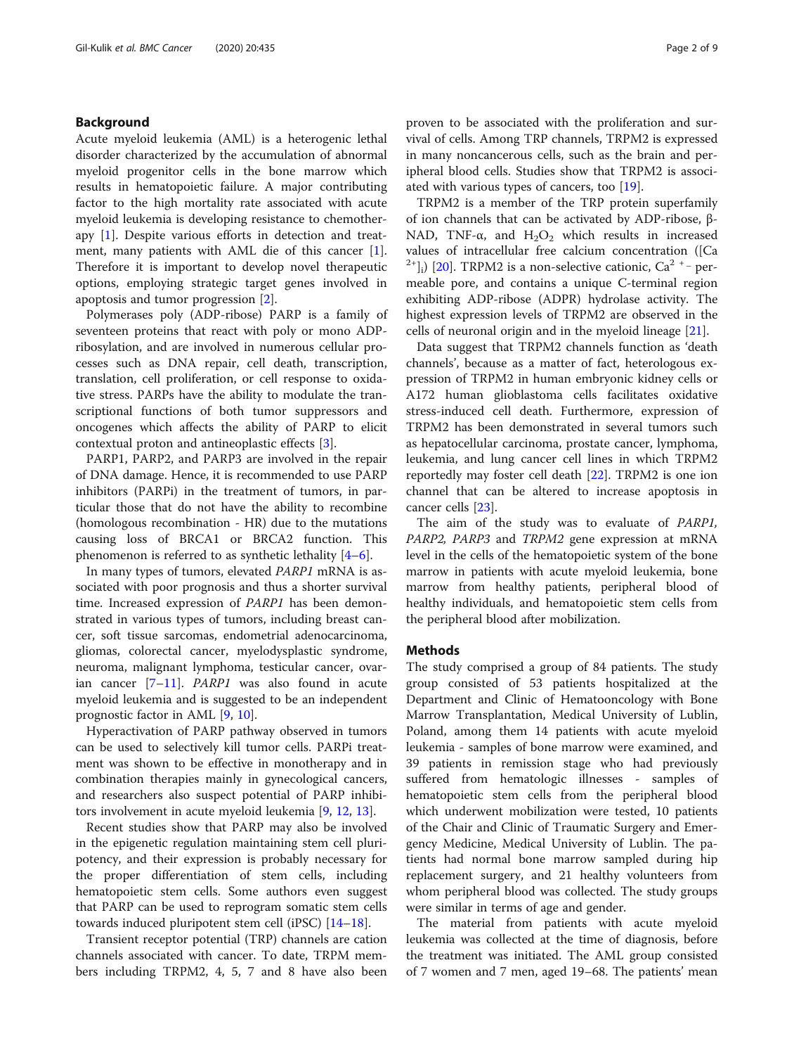# Background

Acute myeloid leukemia (AML) is a heterogenic lethal disorder characterized by the accumulation of abnormal myeloid progenitor cells in the bone marrow which results in hematopoietic failure. A major contributing factor to the high mortality rate associated with acute myeloid leukemia is developing resistance to chemotherapy [[1](#page-7-0)]. Despite various efforts in detection and treatment, many patients with AML die of this cancer [\[1](#page-7-0)]. Therefore it is important to develop novel therapeutic options, employing strategic target genes involved in apoptosis and tumor progression [[2\]](#page-7-0).

Polymerases poly (ADP-ribose) PARP is a family of seventeen proteins that react with poly or mono ADPribosylation, and are involved in numerous cellular processes such as DNA repair, cell death, transcription, translation, cell proliferation, or cell response to oxidative stress. PARPs have the ability to modulate the transcriptional functions of both tumor suppressors and oncogenes which affects the ability of PARP to elicit contextual proton and antineoplastic effects [\[3](#page-7-0)].

PARP1, PARP2, and PARP3 are involved in the repair of DNA damage. Hence, it is recommended to use PARP inhibitors (PARPi) in the treatment of tumors, in particular those that do not have the ability to recombine (homologous recombination - HR) due to the mutations causing loss of BRCA1 or BRCA2 function. This phenomenon is referred to as synthetic lethality [[4](#page-7-0)–[6](#page-7-0)].

In many types of tumors, elevated PARP1 mRNA is associated with poor prognosis and thus a shorter survival time. Increased expression of PARP1 has been demonstrated in various types of tumors, including breast cancer, soft tissue sarcomas, endometrial adenocarcinoma, gliomas, colorectal cancer, myelodysplastic syndrome, neuroma, malignant lymphoma, testicular cancer, ovarian cancer [\[7](#page-7-0)–[11\]](#page-8-0). PARP1 was also found in acute myeloid leukemia and is suggested to be an independent prognostic factor in AML [[9,](#page-8-0) [10\]](#page-8-0).

Hyperactivation of PARP pathway observed in tumors can be used to selectively kill tumor cells. PARPi treatment was shown to be effective in monotherapy and in combination therapies mainly in gynecological cancers, and researchers also suspect potential of PARP inhibitors involvement in acute myeloid leukemia [\[9](#page-8-0), [12](#page-8-0), [13\]](#page-8-0).

Recent studies show that PARP may also be involved in the epigenetic regulation maintaining stem cell pluripotency, and their expression is probably necessary for the proper differentiation of stem cells, including hematopoietic stem cells. Some authors even suggest that PARP can be used to reprogram somatic stem cells towards induced pluripotent stem cell (iPSC) [[14](#page-8-0)–[18](#page-8-0)].

Transient receptor potential (TRP) channels are cation channels associated with cancer. To date, TRPM members including TRPM2, 4, 5, 7 and 8 have also been proven to be associated with the proliferation and survival of cells. Among TRP channels, TRPM2 is expressed in many noncancerous cells, such as the brain and peripheral blood cells. Studies show that TRPM2 is associated with various types of cancers, too [[19\]](#page-8-0).

TRPM2 is a member of the TRP protein superfamily of ion channels that can be activated by ADP-ribose, β-NAD, TNF- $\alpha$ , and H<sub>2</sub>O<sub>2</sub> which results in increased values of intracellular free calcium concentration ([Ca <sup>2+</sup>]<sub>i</sub>) [\[20](#page-8-0)]. TRPM2 is a non-selective cationic, Ca<sup>2+</sup>- permeable pore, and contains a unique C-terminal region exhibiting ADP-ribose (ADPR) hydrolase activity. The highest expression levels of TRPM2 are observed in the cells of neuronal origin and in the myeloid lineage [\[21\]](#page-8-0).

Data suggest that TRPM2 channels function as 'death channels', because as a matter of fact, heterologous expression of TRPM2 in human embryonic kidney cells or A172 human glioblastoma cells facilitates oxidative stress-induced cell death. Furthermore, expression of TRPM2 has been demonstrated in several tumors such as hepatocellular carcinoma, prostate cancer, lymphoma, leukemia, and lung cancer cell lines in which TRPM2 reportedly may foster cell death [\[22](#page-8-0)]. TRPM2 is one ion channel that can be altered to increase apoptosis in cancer cells [\[23\]](#page-8-0).

The aim of the study was to evaluate of PARP1, PARP2, PARP3 and TRPM2 gene expression at mRNA level in the cells of the hematopoietic system of the bone marrow in patients with acute myeloid leukemia, bone marrow from healthy patients, peripheral blood of healthy individuals, and hematopoietic stem cells from the peripheral blood after mobilization.

# Methods

The study comprised a group of 84 patients. The study group consisted of 53 patients hospitalized at the Department and Clinic of Hematooncology with Bone Marrow Transplantation, Medical University of Lublin, Poland, among them 14 patients with acute myeloid leukemia - samples of bone marrow were examined, and 39 patients in remission stage who had previously suffered from hematologic illnesses - samples of hematopoietic stem cells from the peripheral blood which underwent mobilization were tested, 10 patients of the Chair and Clinic of Traumatic Surgery and Emergency Medicine, Medical University of Lublin. The patients had normal bone marrow sampled during hip replacement surgery, and 21 healthy volunteers from whom peripheral blood was collected. The study groups were similar in terms of age and gender.

The material from patients with acute myeloid leukemia was collected at the time of diagnosis, before the treatment was initiated. The AML group consisted of 7 women and 7 men, aged 19–68. The patients' mean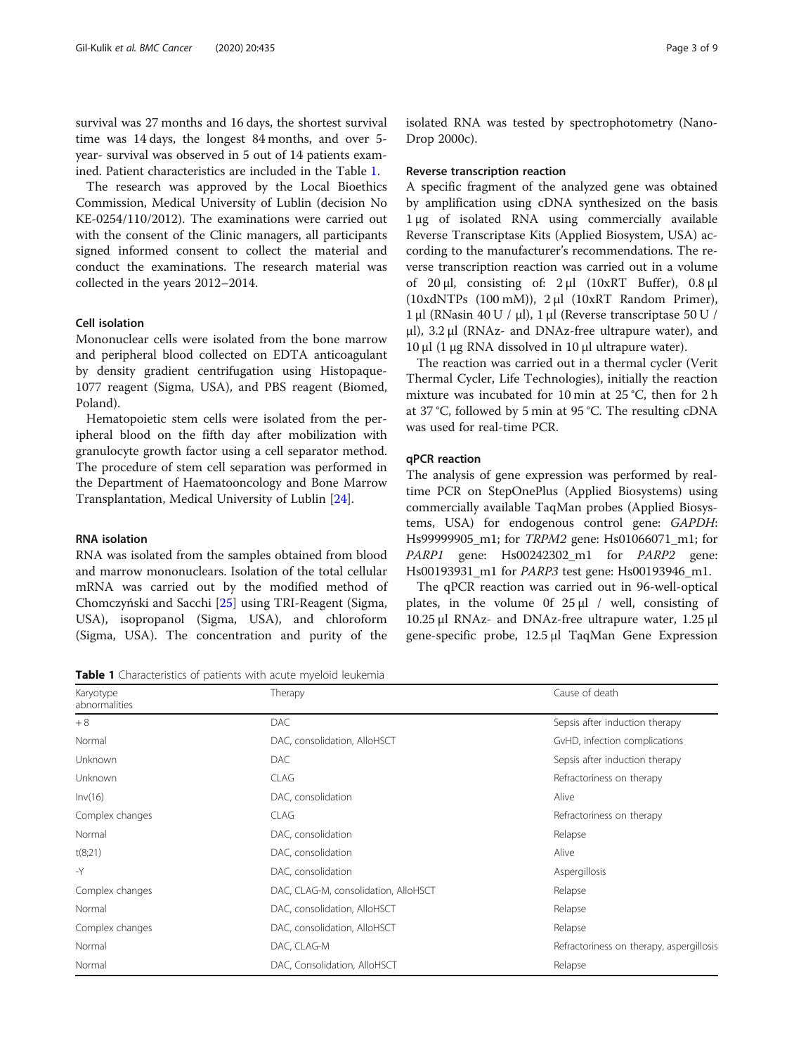survival was 27 months and 16 days, the shortest survival time was 14 days, the longest 84 months, and over 5 year- survival was observed in 5 out of 14 patients examined. Patient characteristics are included in the Table 1.

The research was approved by the Local Bioethics Commission, Medical University of Lublin (decision No KE-0254/110/2012). The examinations were carried out with the consent of the Clinic managers, all participants signed informed consent to collect the material and conduct the examinations. The research material was collected in the years 2012–2014.

# Cell isolation

Mononuclear cells were isolated from the bone marrow and peripheral blood collected on EDTA anticoagulant by density gradient centrifugation using Histopaque-1077 reagent (Sigma, USA), and PBS reagent (Biomed, Poland).

Hematopoietic stem cells were isolated from the peripheral blood on the fifth day after mobilization with granulocyte growth factor using a cell separator method. The procedure of stem cell separation was performed in the Department of Haematooncology and Bone Marrow Transplantation, Medical University of Lublin [[24](#page-8-0)].

# RNA isolation

RNA was isolated from the samples obtained from blood and marrow mononuclears. Isolation of the total cellular mRNA was carried out by the modified method of Chomczyński and Sacchi [[25\]](#page-8-0) using TRI-Reagent (Sigma, USA), isopropanol (Sigma, USA), and chloroform (Sigma, USA). The concentration and purity of the

Table 1 Characteristics of patients with acute myeloid leukemia

isolated RNA was tested by spectrophotometry (Nano-Drop 2000c).

#### Reverse transcription reaction

A specific fragment of the analyzed gene was obtained by amplification using cDNA synthesized on the basis 1 μg of isolated RNA using commercially available Reverse Transcriptase Kits (Applied Biosystem, USA) according to the manufacturer's recommendations. The reverse transcription reaction was carried out in a volume of 20 μl, consisting of: 2 μl (10xRT Buffer), 0.8 μl (10xdNTPs (100 mM)), 2 μl (10xRT Random Primer), 1 μl (RNasin 40 U / μl), 1 μl (Reverse transcriptase 50 U / μl), 3.2 μl (RNAz- and DNAz-free ultrapure water), and 10 μl (1 μg RNA dissolved in 10 μl ultrapure water).

The reaction was carried out in a thermal cycler (Verit Thermal Cycler, Life Technologies), initially the reaction mixture was incubated for 10 min at 25 °C, then for 2 h at 37 °C, followed by 5 min at 95 °C. The resulting cDNA was used for real-time PCR.

# qPCR reaction

The analysis of gene expression was performed by realtime PCR on StepOnePlus (Applied Biosystems) using commercially available TaqMan probes (Applied Biosystems, USA) for endogenous control gene: GAPDH: Hs99999905\_m1; for TRPM2 gene: Hs01066071\_m1; for PARP1 gene: Hs00242302 m1 for PARP2 gene: Hs00193931\_m1 for PARP3 test gene: Hs00193946\_m1.

The qPCR reaction was carried out in 96-well-optical plates, in the volume 0f  $25 \mu$  / well, consisting of 10.25 μl RNAz- and DNAz-free ultrapure water, 1.25 μl gene-specific probe, 12.5 μl TaqMan Gene Expression

| Karyotype<br>abnormalities | Therapy                              | Cause of death                           |
|----------------------------|--------------------------------------|------------------------------------------|
| $+8$                       | DAC.                                 | Sepsis after induction therapy           |
| Normal                     | DAC, consolidation, AlloHSCT         | GvHD, infection complications            |
| Unknown                    | <b>DAC</b>                           | Sepsis after induction therapy           |
| Unknown                    | <b>CLAG</b>                          | Refractoriness on therapy                |
| Inv(16)                    | DAC, consolidation                   | Alive                                    |
| Complex changes            | <b>CLAG</b>                          | Refractoriness on therapy                |
| Normal                     | DAC, consolidation                   | Relapse                                  |
| t(8;21)                    | DAC, consolidation                   | Alive                                    |
| $-Y$                       | DAC, consolidation                   | Aspergillosis                            |
| Complex changes            | DAC, CLAG-M, consolidation, AlloHSCT | Relapse                                  |
| Normal                     | DAC, consolidation, AlloHSCT         | Relapse                                  |
| Complex changes            | DAC, consolidation, AlloHSCT         | Relapse                                  |
| Normal                     | DAC, CLAG-M                          | Refractoriness on therapy, aspergillosis |
| Normal                     | DAC, Consolidation, AlloHSCT         | Relapse                                  |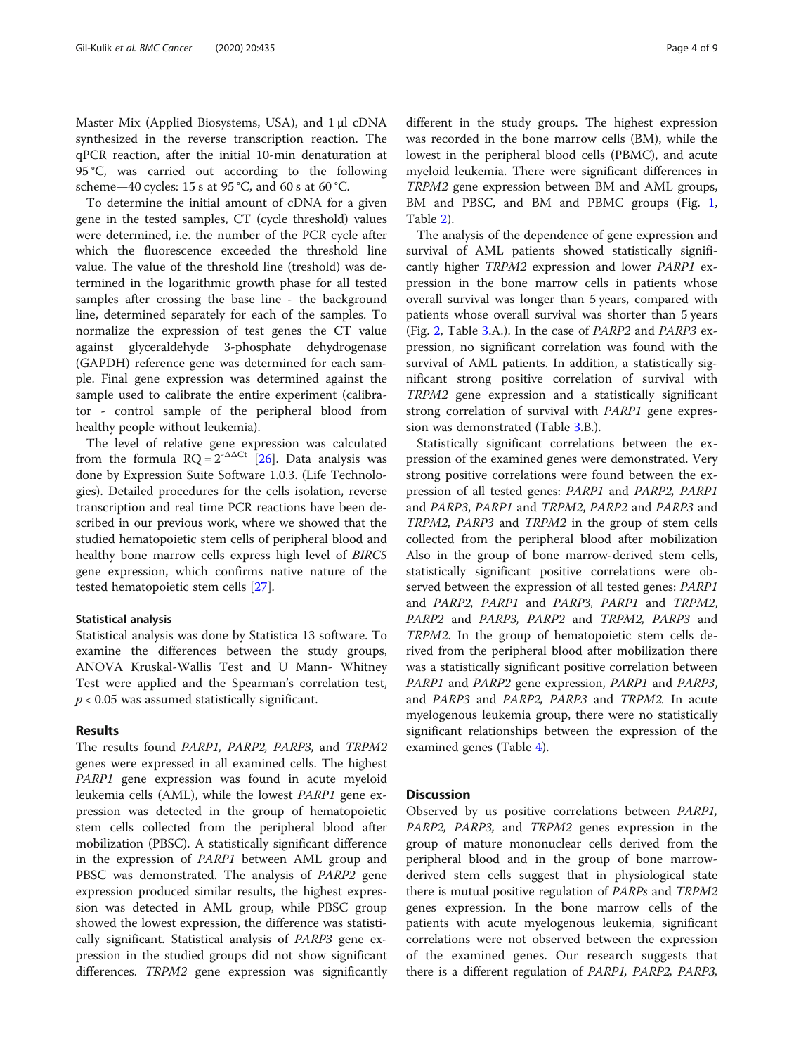Master Mix (Applied Biosystems, USA), and 1 μl cDNA synthesized in the reverse transcription reaction. The qPCR reaction, after the initial 10-min denaturation at 95 °C, was carried out according to the following scheme—40 cycles: 15 s at 95 °C, and 60 s at 60 °C.

To determine the initial amount of cDNA for a given gene in the tested samples, CT (cycle threshold) values were determined, i.e. the number of the PCR cycle after which the fluorescence exceeded the threshold line value. The value of the threshold line (treshold) was determined in the logarithmic growth phase for all tested samples after crossing the base line - the background line, determined separately for each of the samples. To normalize the expression of test genes the CT value against glyceraldehyde 3-phosphate dehydrogenase (GAPDH) reference gene was determined for each sample. Final gene expression was determined against the sample used to calibrate the entire experiment (calibrator - control sample of the peripheral blood from healthy people without leukemia).

The level of relative gene expression was calculated from the formula  $RQ = 2^{-\Delta\Delta Ct}$  [\[26\]](#page-8-0). Data analysis was done by Expression Suite Software 1.0.3. (Life Technologies). Detailed procedures for the cells isolation, reverse transcription and real time PCR reactions have been described in our previous work, where we showed that the studied hematopoietic stem cells of peripheral blood and healthy bone marrow cells express high level of BIRC5 gene expression, which confirms native nature of the tested hematopoietic stem cells [[27\]](#page-8-0).

# Statistical analysis

Statistical analysis was done by Statistica 13 software. To examine the differences between the study groups, ANOVA Kruskal-Wallis Test and U Mann- Whitney Test were applied and the Spearman's correlation test,  $p < 0.05$  was assumed statistically significant.

### Results

The results found PARP1, PARP2, PARP3, and TRPM2 genes were expressed in all examined cells. The highest PARP1 gene expression was found in acute myeloid leukemia cells (AML), while the lowest PARP1 gene expression was detected in the group of hematopoietic stem cells collected from the peripheral blood after mobilization (PBSC). A statistically significant difference in the expression of PARP1 between AML group and PBSC was demonstrated. The analysis of PARP2 gene expression produced similar results, the highest expression was detected in AML group, while PBSC group showed the lowest expression, the difference was statistically significant. Statistical analysis of PARP3 gene expression in the studied groups did not show significant differences. TRPM2 gene expression was significantly different in the study groups. The highest expression was recorded in the bone marrow cells (BM), while the lowest in the peripheral blood cells (PBMC), and acute myeloid leukemia. There were significant differences in TRPM2 gene expression between BM and AML groups, BM and PBSC, and BM and PBMC groups (Fig. [1](#page-4-0), Table [2\)](#page-4-0).

The analysis of the dependence of gene expression and survival of AML patients showed statistically significantly higher TRPM2 expression and lower PARP1 expression in the bone marrow cells in patients whose overall survival was longer than 5 years, compared with patients whose overall survival was shorter than 5 years (Fig. [2](#page-5-0), Table [3.](#page-5-0)A.). In the case of PARP2 and PARP3 expression, no significant correlation was found with the survival of AML patients. In addition, a statistically significant strong positive correlation of survival with TRPM2 gene expression and a statistically significant strong correlation of survival with PARP1 gene expression was demonstrated (Table [3.](#page-5-0)B.).

Statistically significant correlations between the expression of the examined genes were demonstrated. Very strong positive correlations were found between the expression of all tested genes: PARP1 and PARP2, PARP1 and PARP3, PARP1 and TRPM2, PARP2 and PARP3 and TRPM2, PARP3 and TRPM2 in the group of stem cells collected from the peripheral blood after mobilization Also in the group of bone marrow-derived stem cells, statistically significant positive correlations were observed between the expression of all tested genes: PARP1 and PARP2, PARP1 and PARP3, PARP1 and TRPM2, PARP2 and PARP3, PARP2 and TRPM2, PARP3 and TRPM2. In the group of hematopoietic stem cells derived from the peripheral blood after mobilization there was a statistically significant positive correlation between PARP1 and PARP2 gene expression, PARP1 and PARP3, and PARP3 and PARP2, PARP3 and TRPM2. In acute myelogenous leukemia group, there were no statistically significant relationships between the expression of the examined genes (Table [4\)](#page-6-0).

# **Discussion**

Observed by us positive correlations between PARP1, PARP2, PARP3, and TRPM2 genes expression in the group of mature mononuclear cells derived from the peripheral blood and in the group of bone marrowderived stem cells suggest that in physiological state there is mutual positive regulation of PARPs and TRPM2 genes expression. In the bone marrow cells of the patients with acute myelogenous leukemia, significant correlations were not observed between the expression of the examined genes. Our research suggests that there is a different regulation of PARP1, PARP2, PARP3,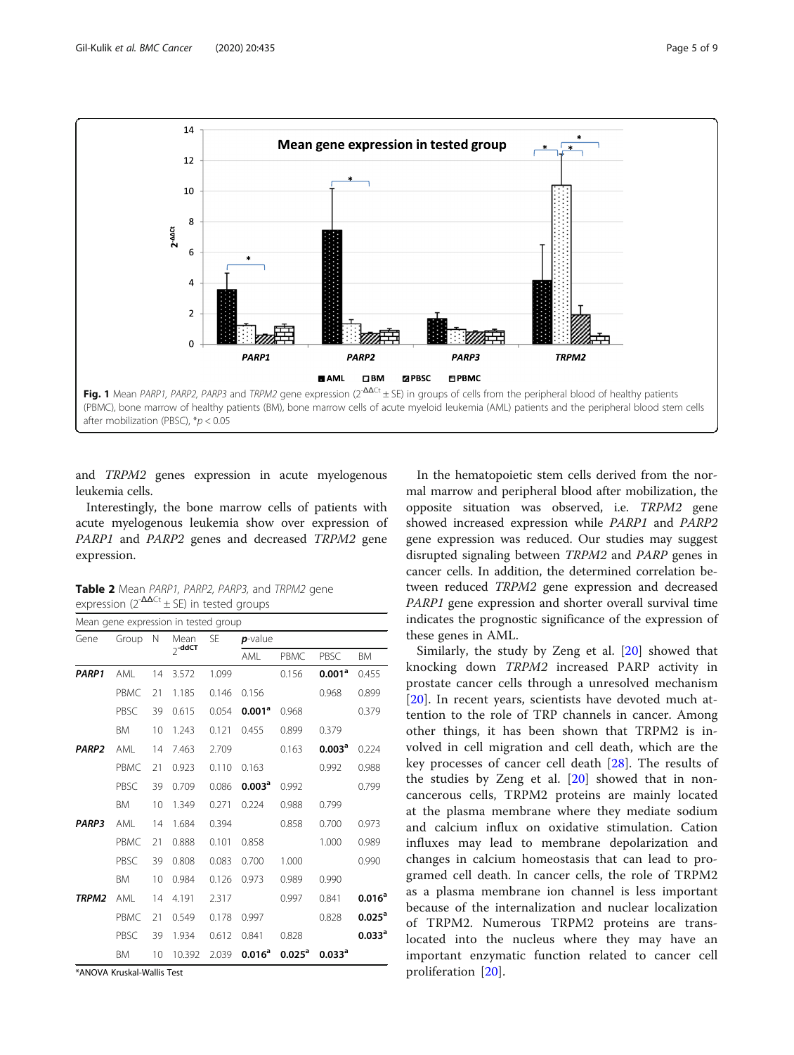<span id="page-4-0"></span>

and TRPM2 genes expression in acute myelogenous leukemia cells.

Interestingly, the bone marrow cells of patients with acute myelogenous leukemia show over expression of PARP1 and PARP2 genes and decreased TRPM2 gene expression.

Table 2 Mean PARP1, PARP2, PARP3, and TRPM2 gene expression ( $2^{-\Delta\Delta Ct}$  ± SE) in tested groups

| Mean gene expression in tested group |             |    |                    |           |                    |                 |                    |                      |
|--------------------------------------|-------------|----|--------------------|-----------|--------------------|-----------------|--------------------|----------------------|
| Gene                                 | Group       | N  | Mean<br>$2 -$ ddCT | <b>SE</b> | $p$ -value         |                 |                    |                      |
|                                      |             |    |                    |           | AML                | PBMC            | PBSC               | <b>BM</b>            |
| PARP1                                | AML         | 14 | 3.572              | 1.099     |                    | 0.156           | 0.001 <sup>a</sup> | 0.455                |
|                                      | PBMC        | 21 | 1.185              | 0.146     | 0.156              |                 | 0.968              | 0.899                |
|                                      | PBSC        | 39 | 0.615              | 0.054     | 0.001 <sup>a</sup> | 0.968           |                    | 0.379                |
|                                      | <b>BM</b>   | 10 | 1.243              | 0.121     | 0.455              | 0.899           | 0.379              |                      |
| PARP <sub>2</sub>                    | AMI         | 14 | 7.463              | 2.709     |                    | 0.163           | $0.003^a$          | 0.224                |
|                                      | PBMC        | 21 | 0.923              | 0.110     | 0.163              |                 | 0.992              | 0.988                |
|                                      | PBSC        | 39 | 0.709              | 0.086     | 0.003 <sup>a</sup> | 0.992           |                    | 0.799                |
|                                      | <b>BM</b>   | 10 | 1.349              | 0.271     | 0.224              | 0.988           | 0.799              |                      |
| PARP3                                | AMI         | 14 | 1.684              | 0.394     |                    | 0.858           | 0.700              | 0.973                |
|                                      | <b>PBMC</b> | 21 | 0.888              | 0.101     | 0.858              |                 | 1.000              | 0.989                |
|                                      | PBSC        | 39 | 0.808              | 0.083     | 0.700              | 1.000           |                    | 0.990                |
|                                      | <b>BM</b>   | 10 | 0.984              | 0.126     | 0.973              | 0.989           | 0.990              |                      |
| TRPM2                                | AML         | 14 | 4.191              | 2.317     |                    | 0.997           | 0.841              | 0.016 <sup>a</sup>   |
|                                      | PBMC        | 21 | 0.549              | 0.178     | 0.997              |                 | 0.828              | $0.025$ <sup>a</sup> |
|                                      | PBSC        | 39 | 1.934              | 0.612     | 0.841              | 0.828           |                    | $0.033$ <sup>a</sup> |
|                                      | <b>BM</b>   | 10 | 10.392             | 2.039     | 0.016 <sup>a</sup> | $0.025^{\rm a}$ | $0.033^a$          |                      |

\*ANOVA Kruskal-Wallis Test

In the hematopoietic stem cells derived from the normal marrow and peripheral blood after mobilization, the opposite situation was observed, i.e. TRPM2 gene showed increased expression while PARP1 and PARP2 gene expression was reduced. Our studies may suggest disrupted signaling between TRPM2 and PARP genes in cancer cells. In addition, the determined correlation between reduced TRPM2 gene expression and decreased PARP1 gene expression and shorter overall survival time indicates the prognostic significance of the expression of these genes in AML.

Similarly, the study by Zeng et al. [[20\]](#page-8-0) showed that knocking down TRPM2 increased PARP activity in prostate cancer cells through a unresolved mechanism [[20\]](#page-8-0). In recent years, scientists have devoted much attention to the role of TRP channels in cancer. Among other things, it has been shown that TRPM2 is involved in cell migration and cell death, which are the key processes of cancer cell death [[28\]](#page-8-0). The results of the studies by Zeng et al. [[20\]](#page-8-0) showed that in noncancerous cells, TRPM2 proteins are mainly located at the plasma membrane where they mediate sodium and calcium influx on oxidative stimulation. Cation influxes may lead to membrane depolarization and changes in calcium homeostasis that can lead to programed cell death. In cancer cells, the role of TRPM2 as a plasma membrane ion channel is less important because of the internalization and nuclear localization of TRPM2. Numerous TRPM2 proteins are translocated into the nucleus where they may have an important enzymatic function related to cancer cell proliferation [[20\]](#page-8-0).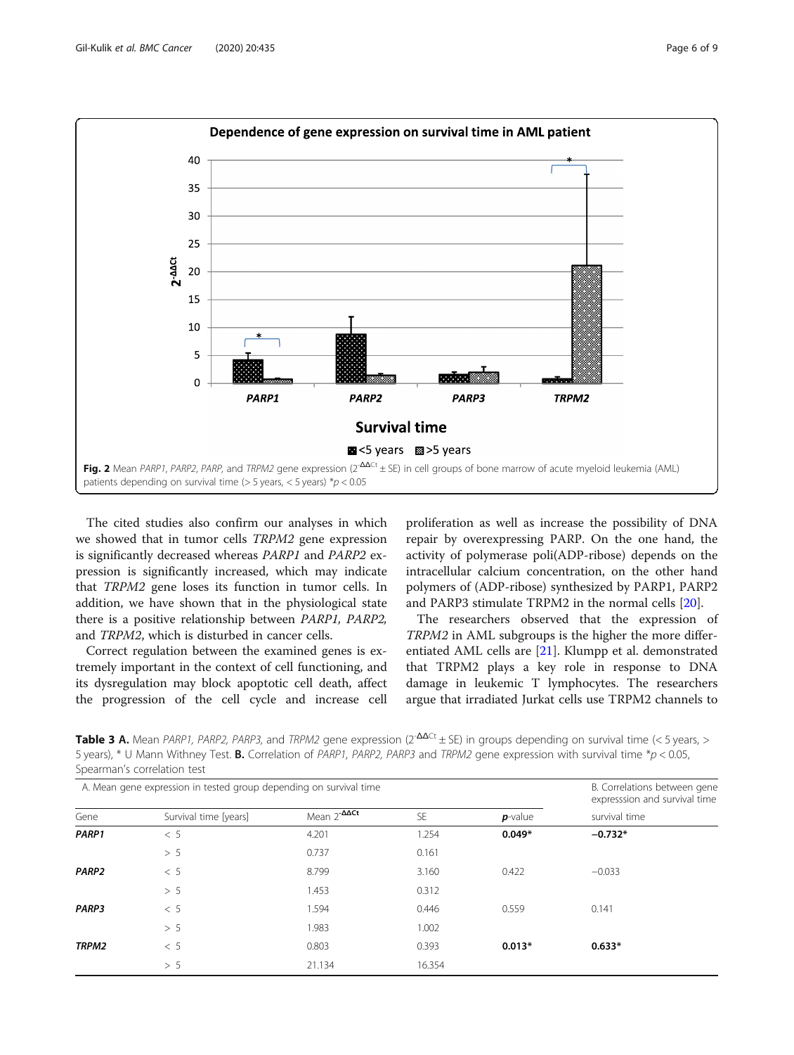<span id="page-5-0"></span>

The cited studies also confirm our analyses in which we showed that in tumor cells TRPM2 gene expression is significantly decreased whereas PARP1 and PARP2 expression is significantly increased, which may indicate that TRPM2 gene loses its function in tumor cells. In addition, we have shown that in the physiological state there is a positive relationship between PARP1, PARP2, and TRPM2, which is disturbed in cancer cells.

Correct regulation between the examined genes is extremely important in the context of cell functioning, and its dysregulation may block apoptotic cell death, affect the progression of the cell cycle and increase cell

proliferation as well as increase the possibility of DNA repair by overexpressing PARP. On the one hand, the activity of polymerase poli(ADP-ribose) depends on the intracellular calcium concentration, on the other hand polymers of (ADP-ribose) synthesized by PARP1, PARP2 and PARP3 stimulate TRPM2 in the normal cells [[20\]](#page-8-0).

The researchers observed that the expression of TRPM2 in AML subgroups is the higher the more differentiated AML cells are [[21\]](#page-8-0). Klumpp et al. demonstrated that TRPM2 plays a key role in response to DNA damage in leukemic T lymphocytes. The researchers argue that irradiated Jurkat cells use TRPM2 channels to

**Table 3 A.** Mean PARP1, PARP2, PARP3, and TRPM2 gene expression ( $2^{-\Delta\Delta\zeta t}$  ± SE) in groups depending on survival time (< 5 years, > 5 years), \* U Mann Withney Test. **B.** Correlation of PARP1, PARP2, PARP3 and TRPM2 gene expression with survival time  $*p < 0.05$ , Spearman's correlation test

|                   | A. Mean gene expression in tested group depending on survival time | B. Correlations between gene<br>expresssion and survival time |           |            |               |
|-------------------|--------------------------------------------------------------------|---------------------------------------------------------------|-----------|------------|---------------|
| Gene              | Survival time [years]                                              | Mean 2-AACt                                                   | <b>SE</b> | $p$ -value | survival time |
| PARP1             | < 5                                                                | 4.201                                                         | 1.254     | $0.049*$   | $-0.732*$     |
|                   | > 5                                                                | 0.737                                                         | 0.161     |            |               |
| PARP <sub>2</sub> | < 5                                                                | 8.799                                                         | 3.160     | 0.422      | $-0.033$      |
|                   | > 5                                                                | 1.453                                                         | 0.312     |            |               |
| PARP3             | < 5                                                                | 1.594                                                         | 0.446     | 0.559      | 0.141         |
|                   | > 5                                                                | 1.983                                                         | 1.002     |            |               |
| <b>TRPM2</b>      | < 5                                                                | 0.803                                                         | 0.393     | $0.013*$   | $0.633*$      |
|                   | > 5                                                                | 21.134                                                        | 16.354    |            |               |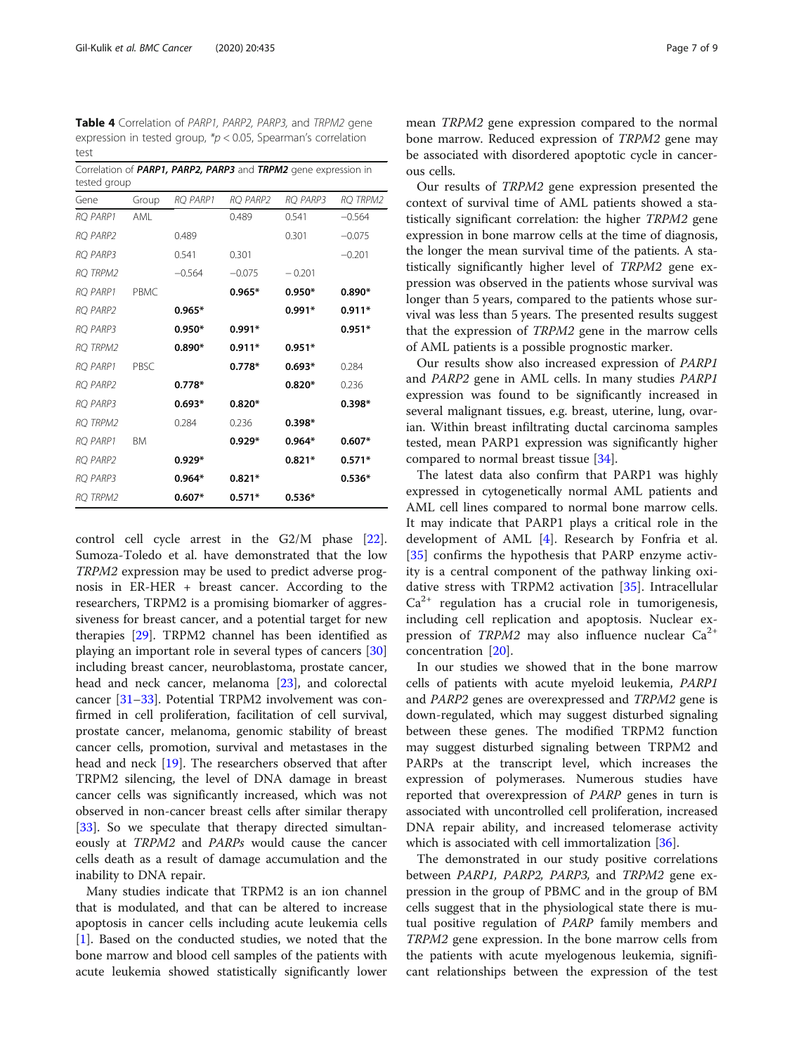<span id="page-6-0"></span>Table 4 Correlation of PARP1, PARP2, PARP3, and TRPM2 gene expression in tested group,  $p < 0.05$ , Spearman's correlation test

| Correlation of <i>PARP1, PARP2, PARP3</i> and <i>TRPM2</i> gene expression in<br>tested group |             |                 |                 |                 |          |  |
|-----------------------------------------------------------------------------------------------|-------------|-----------------|-----------------|-----------------|----------|--|
| Gene                                                                                          | Group       | <b>RQ PARP1</b> | <b>RQ PARP2</b> | <b>RQ PARP3</b> | RQ TRPM2 |  |
| <b>RQ PARP1</b>                                                                               | AML         |                 | 0.489           | 0.541           | $-0.564$ |  |
| <b>RQ PARP2</b>                                                                               |             | 0.489           |                 | 0.301           | $-0.075$ |  |
| <b>RQ PARP3</b>                                                                               |             | 0.541           | 0.301           |                 | $-0.201$ |  |
| RQ TRPM2                                                                                      |             | $-0.564$        | $-0.075$        | $-0.201$        |          |  |
| <b>RO PARP1</b>                                                                               | <b>PBMC</b> |                 | $0.965*$        | $0.950*$        | $0.890*$ |  |
| <b>RQ PARP2</b>                                                                               |             | $0.965*$        |                 | $0.991*$        | $0.911*$ |  |
| <b>RO PARP3</b>                                                                               |             | $0.950*$        | $0.991*$        |                 | $0.951*$ |  |
| <b>RQ TRPM2</b>                                                                               |             | $0.890*$        | $0.911*$        | $0.951*$        |          |  |
| <b>RO PARP1</b>                                                                               | PBSC        |                 | $0.778*$        | $0.693*$        | 0.284    |  |
| <b>RQ PARP2</b>                                                                               |             | $0.778*$        |                 | $0.820*$        | 0.236    |  |
| <b>RQ PARP3</b>                                                                               |             | $0.693*$        | $0.820*$        |                 | $0.398*$ |  |
| <b>RQ TRPM2</b>                                                                               |             | 0.284           | 0.236           | $0.398*$        |          |  |
| <b>RQ PARP1</b>                                                                               | BM          |                 | $0.929*$        | $0.964*$        | $0.607*$ |  |
| <b>RQ PARP2</b>                                                                               |             | $0.929*$        |                 | $0.821*$        | $0.571*$ |  |
| <b>RQ PARP3</b>                                                                               |             | $0.964*$        | $0.821*$        |                 | 0.536*   |  |
| <b>RQ TRPM2</b>                                                                               |             | $0.607*$        | $0.571*$        | $0.536*$        |          |  |

control cell cycle arrest in the G2/M phase [\[22](#page-8-0)]. Sumoza-Toledo et al. have demonstrated that the low TRPM2 expression may be used to predict adverse prognosis in ER-HER + breast cancer. According to the researchers, TRPM2 is a promising biomarker of aggressiveness for breast cancer, and a potential target for new therapies [[29\]](#page-8-0). TRPM2 channel has been identified as playing an important role in several types of cancers [[30](#page-8-0)] including breast cancer, neuroblastoma, prostate cancer, head and neck cancer, melanoma [\[23](#page-8-0)], and colorectal cancer [\[31](#page-8-0)–[33\]](#page-8-0). Potential TRPM2 involvement was confirmed in cell proliferation, facilitation of cell survival, prostate cancer, melanoma, genomic stability of breast cancer cells, promotion, survival and metastases in the head and neck [\[19](#page-8-0)]. The researchers observed that after TRPM2 silencing, the level of DNA damage in breast cancer cells was significantly increased, which was not observed in non-cancer breast cells after similar therapy [[33\]](#page-8-0). So we speculate that therapy directed simultaneously at TRPM2 and PARPs would cause the cancer cells death as a result of damage accumulation and the inability to DNA repair.

Many studies indicate that TRPM2 is an ion channel that is modulated, and that can be altered to increase apoptosis in cancer cells including acute leukemia cells [[1\]](#page-7-0). Based on the conducted studies, we noted that the bone marrow and blood cell samples of the patients with acute leukemia showed statistically significantly lower

mean TRPM2 gene expression compared to the normal bone marrow. Reduced expression of TRPM2 gene may be associated with disordered apoptotic cycle in cancerous cells.

Our results of TRPM2 gene expression presented the context of survival time of AML patients showed a statistically significant correlation: the higher TRPM2 gene expression in bone marrow cells at the time of diagnosis, the longer the mean survival time of the patients. A statistically significantly higher level of TRPM2 gene expression was observed in the patients whose survival was longer than 5 years, compared to the patients whose survival was less than 5 years. The presented results suggest that the expression of TRPM2 gene in the marrow cells of AML patients is a possible prognostic marker.

Our results show also increased expression of PARP1 and PARP2 gene in AML cells. In many studies PARP1 expression was found to be significantly increased in several malignant tissues, e.g. breast, uterine, lung, ovarian. Within breast infiltrating ductal carcinoma samples tested, mean PARP1 expression was significantly higher compared to normal breast tissue [\[34](#page-8-0)].

The latest data also confirm that PARP1 was highly expressed in cytogenetically normal AML patients and AML cell lines compared to normal bone marrow cells. It may indicate that PARP1 plays a critical role in the development of AML [[4\]](#page-7-0). Research by Fonfria et al. [[35\]](#page-8-0) confirms the hypothesis that PARP enzyme activity is a central component of the pathway linking oxidative stress with TRPM2 activation [[35](#page-8-0)]. Intracellular  $Ca<sup>2+</sup>$  regulation has a crucial role in tumorigenesis, including cell replication and apoptosis. Nuclear expression of TRPM2 may also influence nuclear  $Ca^{2+}$ concentration [[20\]](#page-8-0).

In our studies we showed that in the bone marrow cells of patients with acute myeloid leukemia, PARP1 and PARP2 genes are overexpressed and TRPM2 gene is down-regulated, which may suggest disturbed signaling between these genes. The modified TRPM2 function may suggest disturbed signaling between TRPM2 and PARPs at the transcript level, which increases the expression of polymerases. Numerous studies have reported that overexpression of PARP genes in turn is associated with uncontrolled cell proliferation, increased DNA repair ability, and increased telomerase activity which is associated with cell immortalization [[36\]](#page-8-0).

The demonstrated in our study positive correlations between PARP1, PARP2, PARP3, and TRPM2 gene expression in the group of PBMC and in the group of BM cells suggest that in the physiological state there is mutual positive regulation of PARP family members and TRPM2 gene expression. In the bone marrow cells from the patients with acute myelogenous leukemia, significant relationships between the expression of the test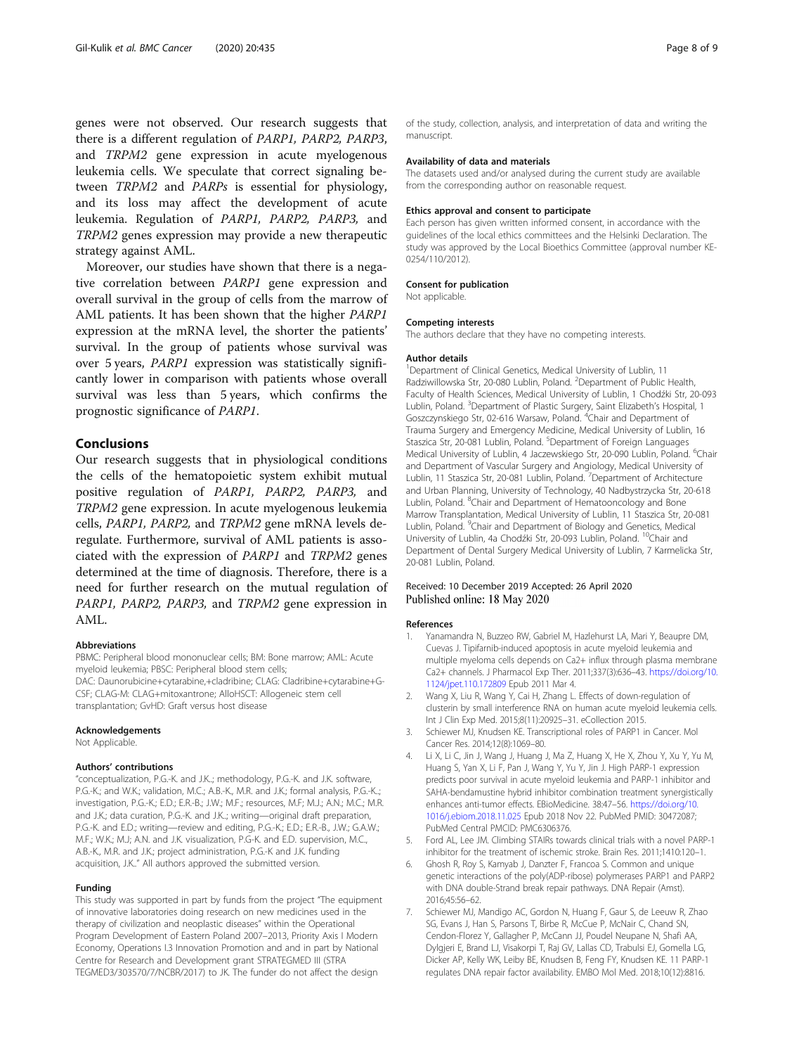<span id="page-7-0"></span>genes were not observed. Our research suggests that there is a different regulation of PARP1, PARP2, PARP3, and TRPM2 gene expression in acute myelogenous leukemia cells. We speculate that correct signaling between TRPM2 and PARPs is essential for physiology, and its loss may affect the development of acute leukemia. Regulation of PARP1, PARP2, PARP3, and TRPM2 genes expression may provide a new therapeutic strategy against AML.

Moreover, our studies have shown that there is a negative correlation between PARP1 gene expression and overall survival in the group of cells from the marrow of AML patients. It has been shown that the higher PARP1 expression at the mRNA level, the shorter the patients' survival. In the group of patients whose survival was over 5 years, PARP1 expression was statistically significantly lower in comparison with patients whose overall survival was less than 5 years, which confirms the prognostic significance of PARP1.

# Conclusions

Our research suggests that in physiological conditions the cells of the hematopoietic system exhibit mutual positive regulation of PARP1, PARP2, PARP3, and TRPM2 gene expression. In acute myelogenous leukemia cells, PARP1, PARP2, and TRPM2 gene mRNA levels deregulate. Furthermore, survival of AML patients is associated with the expression of PARP1 and TRPM2 genes determined at the time of diagnosis. Therefore, there is a need for further research on the mutual regulation of PARP1, PARP2, PARP3, and TRPM2 gene expression in AML.

#### Abbreviations

PBMC: Peripheral blood mononuclear cells; BM: Bone marrow; AML: Acute myeloid leukemia; PBSC: Peripheral blood stem cells; DAC: Daunorubicine+cytarabine,+cladribine; CLAG: Cladribine+cytarabine+G-

CSF; CLAG-M: CLAG+mitoxantrone; AlloHSCT: Allogeneic stem cell transplantation; GvHD: Graft versus host disease

#### Acknowledgements

Not Applicable.

#### Authors' contributions

"conceptualization, P.G.-K. and J.K..; methodology, P.G.-K. and J.K. software, P.G.-K.; and W.K.; validation, M.C.; A.B.-K., M.R. and J.K.; formal analysis, P.G.-K..; investigation, P.G.-K.; E.D.; E.R.-B.; J.W.; M.F.; resources, M.F; M.J.; A.N.; M.C.; M.R. and J.K.; data curation, P.G.-K. and J.K..; writing—original draft preparation, P.G.-K. and E.D.; writing—review and editing, P.G.-K.; E.D.; E.R.-B., J.W.; G.A.W.; M.F.; W.K.; M.J; A.N. and J.K. visualization, P.G-K. and E.D. supervision, M.C., A.B.-K., M.R. and J.K.; project administration, P.G.-K and J.K. funding acquisition, J.K.." All authors approved the submitted version.

#### Funding

This study was supported in part by funds from the project "The equipment of innovative laboratories doing research on new medicines used in the therapy of civilization and neoplastic diseases" within the Operational Program Development of Eastern Poland 2007–2013, Priority Axis I Modern Economy, Operations I.3 Innovation Promotion and and in part by National Centre for Research and Development grant STRATEGMED III (STRA TEGMED3/303570/7/NCBR/2017) to JK. The funder do not affect the design

of the study, collection, analysis, and interpretation of data and writing the manuscript.

#### Availability of data and materials

The datasets used and/or analysed during the current study are available from the corresponding author on reasonable request.

#### Ethics approval and consent to participate

Each person has given written informed consent, in accordance with the guidelines of the local ethics committees and the Helsinki Declaration. The study was approved by the Local Bioethics Committee (approval number KE-0254/110/2012).

#### Consent for publication

Not applicable.

#### Competing interests

The authors declare that they have no competing interests.

#### Author details

<sup>1</sup>Department of Clinical Genetics, Medical University of Lublin, 11 Radziwillowska Str, 20-080 Lublin, Poland. <sup>2</sup> Department of Public Health Faculty of Health Sciences, Medical University of Lublin, 1 Chodźki Str, 20-093 Lublin, Poland. <sup>3</sup>Department of Plastic Surgery, Saint Elizabeth's Hospital, 1 Goszczynskiego Str, 02-616 Warsaw, Poland. <sup>4</sup>Chair and Department of Trauma Surgery and Emergency Medicine, Medical University of Lublin, 16 Staszica Str, 20-081 Lublin, Poland. <sup>5</sup>Department of Foreign Languages Medical University of Lublin, 4 Jaczewskiego Str, 20-090 Lublin, Poland. <sup>6</sup>Chair and Department of Vascular Surgery and Angiology, Medical University of Lublin, 11 Staszica Str, 20-081 Lublin, Poland. <sup>7</sup> Department of Architecture and Urban Planning, University of Technology, 40 Nadbystrzycka Str, 20-618 Lublin, Poland. <sup>8</sup>Chair and Department of Hematooncology and Bone Marrow Transplantation, Medical University of Lublin, 11 Staszica Str, 20-081 Lublin, Poland. <sup>9</sup>Chair and Department of Biology and Genetics, Medical University of Lublin, 4a Chodźki Str, 20-093 Lublin, Poland. <sup>10</sup>Chair and Department of Dental Surgery Medical University of Lublin, 7 Karmelicka Str, 20-081 Lublin, Poland.

#### Received: 10 December 2019 Accepted: 26 April 2020 Published online: 18 May 2020

#### References

- Yanamandra N, Buzzeo RW, Gabriel M, Hazlehurst LA, Mari Y, Beaupre DM, Cuevas J. Tipifarnib-induced apoptosis in acute myeloid leukemia and multiple myeloma cells depends on Ca2+ influx through plasma membrane Ca2+ channels. J Pharmacol Exp Ther. 2011;337(3):636–43. [https://doi.org/10.](https://doi.org/10.1124/jpet.110.172809) [1124/jpet.110.172809](https://doi.org/10.1124/jpet.110.172809) Epub 2011 Mar 4.
- 2. Wang X, Liu R, Wang Y, Cai H, Zhang L. Effects of down-regulation of clusterin by small interference RNA on human acute myeloid leukemia cells. Int J Clin Exp Med. 2015;8(11):20925–31. eCollection 2015.
- 3. Schiewer MJ, Knudsen KE. Transcriptional roles of PARP1 in Cancer. Mol Cancer Res. 2014;12(8):1069–80.
- Li X, Li C, Jin J, Wang J, Huang J, Ma Z, Huang X, He X, Zhou Y, Xu Y, Yu M, Huang S, Yan X, Li F, Pan J, Wang Y, Yu Y, Jin J. High PARP-1 expression predicts poor survival in acute myeloid leukemia and PARP-1 inhibitor and SAHA-bendamustine hybrid inhibitor combination treatment synergistically enhances anti-tumor effects. EBioMedicine. 38:47–56. [https://doi.org/10.](https://doi.org/10.1016/j.ebiom.2018.11.025) [1016/j.ebiom.2018.11.025](https://doi.org/10.1016/j.ebiom.2018.11.025) Epub 2018 Nov 22. PubMed PMID: 30472087; PubMed Central PMCID: PMC6306376.
- 5. Ford AL, Lee JM. Climbing STAIRs towards clinical trials with a novel PARP-1 inhibitor for the treatment of ischemic stroke. Brain Res. 2011;1410:120–1.
- 6. Ghosh R, Roy S, Kamyab J, Danzter F, Francoa S. Common and unique genetic interactions of the poly(ADP-ribose) polymerases PARP1 and PARP2 with DNA double-Strand break repair pathways. DNA Repair (Amst). 2016;45:56–62.
- 7. Schiewer MJ, Mandigo AC, Gordon N, Huang F, Gaur S, de Leeuw R, Zhao SG, Evans J, Han S, Parsons T, Birbe R, McCue P, McNair C, Chand SN, Cendon-Florez Y, Gallagher P, McCann JJ, Poudel Neupane N, Shafi AA, Dylgjeri E, Brand LJ, Visakorpi T, Raj GV, Lallas CD, Trabulsi EJ, Gomella LG, Dicker AP, Kelly WK, Leiby BE, Knudsen B, Feng FY, Knudsen KE. 11 PARP-1 regulates DNA repair factor availability. EMBO Mol Med. 2018;10(12):8816.